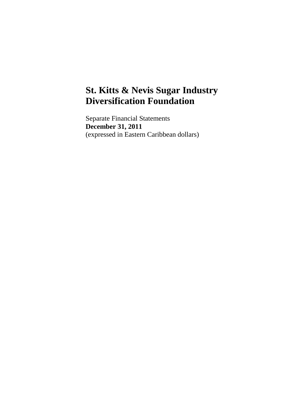Separate Financial Statements **December 31, 2011** (expressed in Eastern Caribbean dollars)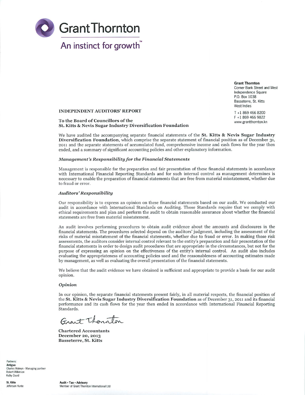

**Grant Thornton** Corner Bank Street and West Independence Square P.O. Box 1038 Basseterre, St. Kitts West Indies

 $T + 18694668200$ F +1 869 466 9822

www.grantthornton.kn

**INDEPENDENT AUDITORS' REPORT** 

#### To the Board of Councillors of the St. Kitts & Nevis Sugar Industry Diversification Foundation

We have audited the accompanying separate financial statements of the St. Kitts & Nevis Sugar Industry Diversification Foundation, which comprise the separate statement of financial position as of December 31, 2011 and the separate statements of accumulated fund, comprehensive income and cash flows for the year then ended, and a summary of significant accounting policies and other explanatory information.

#### Management's Responsibility for the Financial Statements

Management is responsible for the preparation and fair presentation of these financial statements in accordance with International Financial Reporting Standards and for such internal control as management determines is necessary to enable the preparation of financial statements that are free from material misstatement, whether due to fraud or error.

#### **Auditors' Responsibility**

Our responsibility is to express an opinion on these financial statements based on our audit. We conducted our audit in accordance with International Standards on Auditing. Those Standards require that we comply with ethical requirements and plan and perform the audit to obtain reasonable assurance about whether the financial statements are free from material misstatement.

An audit involves performing procedures to obtain audit evidence about the amounts and disclosures in the financial statements. The procedures selected depend on the auditors' judgment, including the assessment of the risks of material misstatement of the financial statements, whether due to fraud or error. In making those risk assessments, the auditors consider internal control relevant to the entity's preparation and fair presentation of the financial statements in order to design audit procedures that are appropriate in the circumstances, but not for the purpose of expressing an opinion on the effectiveness of the entity's internal control. An audit also includes evaluating the appropriateness of accounting policies used and the reasonableness of accounting estimates made by management, as well as evaluating the overall presentation of the financial statements.

We believe that the audit evidence we have obtained is sufficient and appropriate to provide a basis for our audit opinion.

#### Opinion

In our opinion, the separate financial statements present fairly, in all material respects, the financial position of the St. Kitts & Nevis Sugar Industry Diversification Foundation as of December 31, 2011 and its financial performance and its cash flows for the year then ended in accordance with International Financial Reporting Standards.

Grant Thornton

**Chartered Accountants** December 20, 2013 Basseterre, St. Kitts

Partners: Antigua Charles Walwyn - Managing partner Robert Wilkinson **Kathy David** 

St. Kitts Jefferson Hunte Audit . Tax . Advisory Member of Grant Thornton International Ltd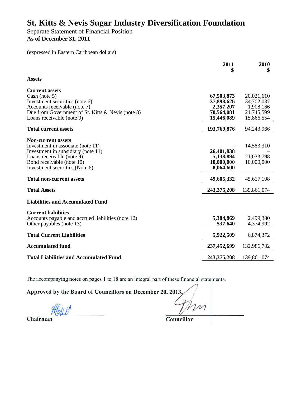Separate Statement of Financial Position **As of December 31, 2011**

# (expressed in Eastern Caribbean dollars)

|                                                                                                                                                                                                  | 2011<br>\$                                                        | 2010<br>\$                                                        |
|--------------------------------------------------------------------------------------------------------------------------------------------------------------------------------------------------|-------------------------------------------------------------------|-------------------------------------------------------------------|
| <b>Assets</b>                                                                                                                                                                                    |                                                                   |                                                                   |
| <b>Current assets</b><br>Cash (note 5)<br>Investment securities (note 6)<br>Accounts receivable (note 7)<br>Due from Government of St. Kitts & Nevis (note 8)<br>Loans receivable (note 9)       | 67,503,873<br>37,898,626<br>2,357,207<br>70,564,081<br>15,446,089 | 20,021,610<br>34,702,037<br>1,908,166<br>21,745,599<br>15,866,554 |
| <b>Total current assets</b>                                                                                                                                                                      | 193,769,876                                                       | 94,243,966                                                        |
| <b>Non-current assets</b><br>Investment in associate (note 11)<br>Investment in subsidiary (note 11)<br>Loans receivable (note 9)<br>Bond receivable (note 10)<br>Investment securities (Note 6) | 26,401,838<br>5,138,894<br>10,000,000<br>8,064,600                | 14,583,310<br>21,033,798<br>10,000,000                            |
| <b>Total non-current assets</b>                                                                                                                                                                  | 49,605,332                                                        | 45,617,108                                                        |
| <b>Total Assets</b>                                                                                                                                                                              | 243,375,208                                                       | 139,861,074                                                       |
| <b>Liabilities and Accumulated Fund</b>                                                                                                                                                          |                                                                   |                                                                   |
| <b>Current liabilities</b><br>Accounts payable and accrued liabilities (note 12)<br>Other payables (note 13)                                                                                     | 5,384,869<br>537,640                                              | 2,499,380<br>4,374,992                                            |
| <b>Total Current Liabilities</b>                                                                                                                                                                 | 5,922,509                                                         | 6,874,372                                                         |
| <b>Accumulated fund</b>                                                                                                                                                                          | 237,452,699                                                       | 132,986,702                                                       |
| <b>Total Liabilities and Accumulated Fund</b>                                                                                                                                                    | 243, 375, 208                                                     | 139,861,074                                                       |

The accompanying notes on pages 1 to 18 are an integral part of these financial statements.

Approved by the Board of Councillors on December 20, 2013.

Chairman

Councillor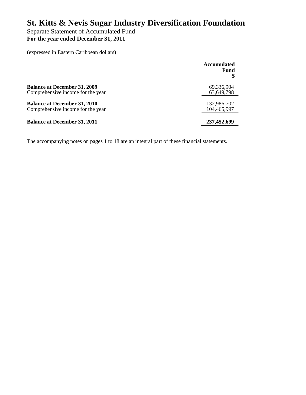Separate Statement of Accumulated Fund **For the year ended December 31, 2011**

(expressed in Eastern Caribbean dollars)

|                                     | <b>Accumulated</b><br>Fund |
|-------------------------------------|----------------------------|
| <b>Balance at December 31, 2009</b> | 69,336,904                 |
| Comprehensive income for the year   | 63,649,798                 |
| <b>Balance at December 31, 2010</b> | 132,986,702                |
| Comprehensive income for the year   | 104,465,997                |
| <b>Balance at December 31, 2011</b> | 237,452,699                |

The accompanying notes on pages 1 to 18 are an integral part of these financial statements.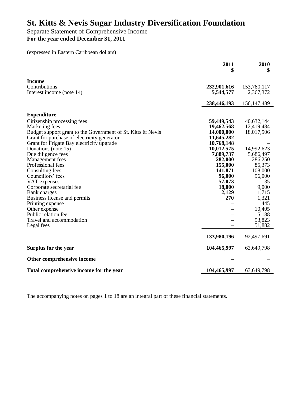Separate Statement of Comprehensive Income

**For the year ended December 31, 2011**

### (expressed in Eastern Caribbean dollars)

|                                                             | 2011<br>\$  | 2010<br>\$       |
|-------------------------------------------------------------|-------------|------------------|
| <b>Income</b>                                               |             |                  |
| Contributions                                               | 232,901,616 | 153,780,117      |
| Interest income (note 14)                                   | 5,544,577   | 2,367,372        |
|                                                             |             |                  |
|                                                             | 238,446,193 | 156, 147, 489    |
| <b>Expenditure</b>                                          |             |                  |
| Citizenship processing fees                                 | 59,449,543  | 40,632,144       |
| Marketing fees                                              | 19,462,568  | 12,419,484       |
| Budget support grant to the Government of St. Kitts & Nevis | 14,000,000  | 18,017,506       |
| Grant for purchase of electricity generator                 | 11,645,282  |                  |
| Grant for Frigate Bay electricity upgrade                   | 10,768,148  |                  |
| Donations (note 15)                                         | 10,012,575  | 14,992,623       |
| Due diligence fees                                          | 7,889,737   | 5,686,497        |
| Management fees                                             | 282,000     | 286,250          |
| Professional fees                                           | 155,000     | 85,373           |
| Consulting fees                                             | 141,871     | 108,000          |
| Councillors' fees                                           | 96,000      | 96,000           |
| VAT expenses                                                | 57,073      | 35               |
| Corporate secretarial fee                                   | 18,000      | 9,000            |
| <b>Bank</b> charges                                         | 2,129       | 1,715            |
| Business license and permits                                | 270         | 1,321            |
| Printing expense                                            |             | 445              |
| Other expense<br>Public relation fee                        |             | 10,405           |
| Travel and accommodation                                    |             | 5,188            |
| Legal fees                                                  |             | 93,823<br>51,882 |
|                                                             |             |                  |
|                                                             | 133,980,196 | 92,497,691       |
| Surplus for the year                                        | 104,465,997 | 63,649,798       |
| Other comprehensive income                                  |             |                  |
| Total comprehensive income for the year                     | 104,465,997 | 63,649,798       |

The accompanying notes on pages 1 to 18 are an integral part of these financial statements.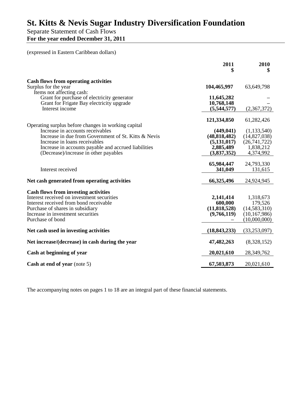### Separate Statement of Cash Flows

**For the year ended December 31, 2011**

(expressed in Eastern Caribbean dollars)

|                                                                                                                                                                                                                                  | 2011<br>\$                                          | 2010<br>\$                                                             |
|----------------------------------------------------------------------------------------------------------------------------------------------------------------------------------------------------------------------------------|-----------------------------------------------------|------------------------------------------------------------------------|
| <b>Cash flows from operating activities</b><br>Surplus for the year<br>Items not affecting cash:                                                                                                                                 | 104,465,997                                         | 63,649,798                                                             |
| Grant for purchase of electricity generator<br>Grant for Frigate Bay electricity upgrade<br>Interest income                                                                                                                      | 11,645,282<br>10,768,148<br>(5,544,577)             | (2,367,372)                                                            |
|                                                                                                                                                                                                                                  | 121,334,850                                         | 61,282,426                                                             |
| Operating surplus before changes in working capital<br>Increase in accounts receivables<br>Increase in due from Government of St. Kitts & Nevis<br>Increase in loans receivables                                                 | (449, 041)<br>(48, 818, 482)                        | (1, 133, 540)<br>(14,827,038)                                          |
| Increase in accounts payable and accrued liabilities<br>(Decrease)/increase in other payables                                                                                                                                    | (5, 131, 017)<br>2,885,489<br>(3,837,352)           | (26,741,722)<br>1,838,212<br>4,374,992                                 |
| Interest received                                                                                                                                                                                                                | 65,984,447<br>341,049                               | 24,793,330<br>131,615                                                  |
| Net cash generated from operating activities                                                                                                                                                                                     | 66,325,496                                          | 24,924,945                                                             |
| <b>Cash flows from investing activities</b><br>Interest received on investment securities<br>Interest received from bond receivable<br>Purchase of shares in subsidiary<br>Increase in investment securities<br>Purchase of bond | 2,141,414<br>600,000<br>(11,818,528)<br>(9,766,119) | 1,318,673<br>179,526<br>(14,583,310)<br>(10, 167, 986)<br>(10,000,000) |
| Net cash used in investing activities                                                                                                                                                                                            | (18, 843, 233)                                      | (33, 253, 097)                                                         |
| Net increase/(decrease) in cash during the year                                                                                                                                                                                  | 47,482,263                                          | (8,328,152)                                                            |
| Cash at beginning of year                                                                                                                                                                                                        | 20,021,610                                          | 28,349,762                                                             |
| <b>Cash at end of year</b> (note 5)                                                                                                                                                                                              | 67,503,873                                          | 20,021,610                                                             |

The accompanying notes on pages 1 to 18 are an integral part of these financial statements.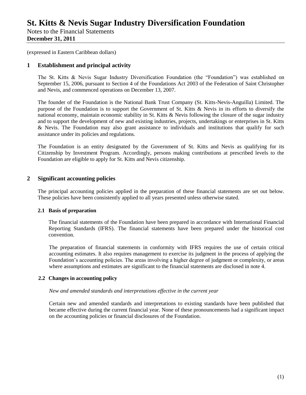Notes to the Financial Statements **December 31, 2011**

(expressed in Eastern Caribbean dollars)

### **1 Establishment and principal activity**

The St. Kitts & Nevis Sugar Industry Diversification Foundation (the "Foundation") was established on September 15, 2006, pursuant to Section 4 of the Foundations Act 2003 of the Federation of Saint Christopher and Nevis, and commenced operations on December 13, 2007.

The founder of the Foundation is the National Bank Trust Company (St. Kitts-Nevis-Anguilla) Limited. The purpose of the Foundation is to support the Government of St. Kitts & Nevis in its efforts to diversify the national economy, maintain economic stability in St. Kitts & Nevis following the closure of the sugar industry and to support the development of new and existing industries, projects, undertakings or enterprises in St. Kitts & Nevis. The Foundation may also grant assistance to individuals and institutions that qualify for such assistance under its policies and regulations.

The Foundation is an entity designated by the Government of St. Kitts and Nevis as qualifying for its Citizenship by Investment Program. Accordingly, persons making contributions at prescribed levels to the Foundation are eligible to apply for St. Kitts and Nevis citizenship.

### **2 Significant accounting policies**

The principal accounting policies applied in the preparation of these financial statements are set out below. These policies have been consistently applied to all years presented unless otherwise stated.

#### **2.1 Basis of preparation**

The financial statements of the Foundation have been prepared in accordance with International Financial Reporting Standards (IFRS). The financial statements have been prepared under the historical cost convention.

The preparation of financial statements in conformity with IFRS requires the use of certain critical accounting estimates. It also requires management to exercise its judgment in the process of applying the Foundation's accounting policies. The areas involving a higher degree of judgment or complexity, or areas where assumptions and estimates are significant to the financial statements are disclosed in note 4.

### **2.2 Changes in accounting policy**

#### *New and amended standards and interpretations effective in the current year*

Certain new and amended standards and interpretations to existing standards have been published that became effective during the current financial year. None of these pronouncements had a significant impact on the accounting policies or financial disclosures of the Foundation.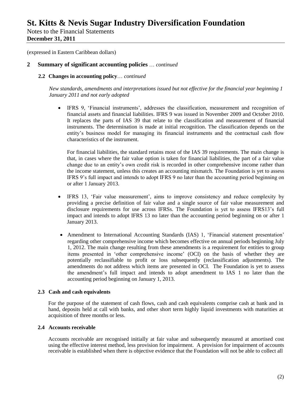Notes to the Financial Statements **December 31, 2011**

(expressed in Eastern Caribbean dollars)

### **2 Summary of significant accounting policies** … *continued*

#### **2.2 Changes in accounting policy**… *continued*

*New standards, amendments and interpretations issued but not effective for the financial year beginning 1 January 2011 and not early adopted*

 IFRS 9, 'Financial instruments', addresses the classification, measurement and recognition of financial assets and financial liabilities. IFRS 9 was issued in November 2009 and October 2010. It replaces the parts of IAS 39 that relate to the classification and measurement of financial instruments. The determination is made at initial recognition. The classification depends on the entity's business model for managing its financial instruments and the contractual cash flow characteristics of the instrument.

For financial liabilities, the standard retains most of the IAS 39 requirements. The main change is that, in cases where the fair value option is taken for financial liabilities, the part of a fair value change due to an entity's own credit risk is recorded in other comprehensive income rather than the income statement, unless this creates an accounting mismatch. The Foundation is yet to assess IFRS 9's full impact and intends to adopt IFRS 9 no later than the accounting period beginning on or after 1 January 2013.

- IFRS 13, 'Fair value measurement', aims to improve consistency and reduce complexity by providing a precise definition of fair value and a single source of fair value measurement and disclosure requirements for use across IFRSs. The Foundation is yet to assess IFRS13's full impact and intends to adopt IFRS 13 no later than the accounting period beginning on or after 1 January 2013.
- Amendment to International Accounting Standards (IAS) 1, 'Financial statement presentation' regarding other comprehensive income which becomes effective on annual periods beginning July 1, 2012. The main change resulting from these amendments is a requirement for entities to group items presented in 'other comprehensive income' (OCI) on the basis of whether they are potentially reclassifiable to profit or loss subsequently (reclassification adjustments). The amendments do not address which items are presented in OCI. The Foundation is yet to assess the amendment's full impact and intends to adopt amendment to IAS 1 no later than the accounting period beginning on January 1, 2013.

#### **2.3 Cash and cash equivalents**

For the purpose of the statement of cash flows, cash and cash equivalents comprise cash at bank and in hand, deposits held at call with banks, and other short term highly liquid investments with maturities at acquisition of three months or less.

#### **2.4 Accounts receivable**

Accounts receivable are recognised initially at fair value and subsequently measured at amortised cost using the effective interest method, less provision for impairment. A provision for impairment of accounts receivable is established when there is objective evidence that the Foundation will not be able to collect all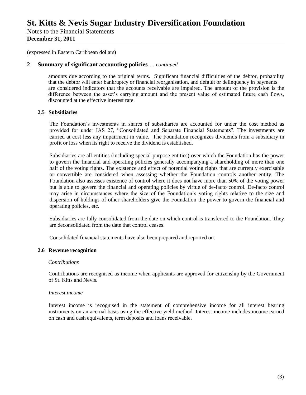Notes to the Financial Statements **December 31, 2011**

(expressed in Eastern Caribbean dollars)

### **2 Summary of significant accounting policies** … *continued*

amounts due according to the original terms. Significant financial difficulties of the debtor, probability that the debtor will enter bankruptcy or financial reorganisation, and default or delinquency in payments are considered indicators that the accounts receivable are impaired. The amount of the provision is the difference between the asset's carrying amount and the present value of estimated future cash flows, discounted at the effective interest rate.

### **2.5 Subsidiaries**

The Foundation's investments in shares of subsidiaries are accounted for under the cost method as provided for under IAS 27, "Consolidated and Separate Financial Statements". The investments are carried at cost less any impairment in value. The Foundation recognizes dividends from a subsidiary in profit or loss when its right to receive the dividend is established.

Subsidiaries are all entities (including special purpose entities) over which the Foundation has the power to govern the financial and operating policies generally accompanying a shareholding of more than one half of the voting rights. The existence and effect of potential voting rights that are currently exercisable or convertible are considered when assessing whether the Foundation controls another entity. The Foundation also assesses existence of control where it does not have more than 50% of the voting power but is able to govern the financial and operating policies by virtue of de-facto control. De-facto control may arise in circumstances where the size of the Foundation's voting rights relative to the size and dispersion of holdings of other shareholders give the Foundation the power to govern the financial and operating policies, etc.

Subsidiaries are fully consolidated from the date on which control is transferred to the Foundation. They are deconsolidated from the date that control ceases.

Consolidated financial statements have also been prepared and reported on.

#### **2.6 Revenue recognition**

#### *Contributions*

Contributions are recognised as income when applicants are approved for citizenship by the Government of St. Kitts and Nevis.

#### *Interest income*

Interest income is recognised in the statement of comprehensive income for all interest bearing instruments on an accrual basis using the effective yield method. Interest income includes income earned on cash and cash equivalents, term deposits and loans receivable.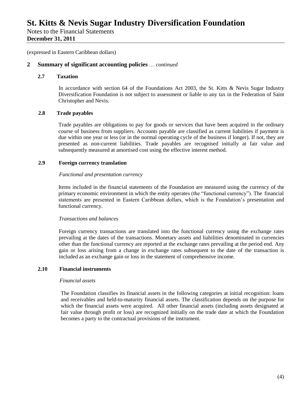Notes to the Financial Statements **December 31, 2011**

(expressed in Eastern Caribbean dollars)

#### **2 Summary of significant accounting policies** … *continued*

#### **2.7 Taxation**

In accordance with section 64 of the Foundations Act 2003, the St. Kitts & Nevis Sugar Industry Diversification Foundation is not subject to assessment or liable to any tax in the Federation of Saint Christopher and Nevis.

#### **2.8 Trade payables**

Trade payables are obligations to pay for goods or services that have been acquired in the ordinary course of business from suppliers. Accounts payable are classified as current liabilities if payment is due within one year or less (or in the normal operating cycle of the business if longer). If not, they are presented as non-current liabilities. Trade payables are recognised initially at fair value and subsequently measured at amortised cost using the effective interest method.

#### **2.9 Foreign currency translation**

#### *Functional and presentation currency*

Items included in the financial statements of the Foundation are measured using the currency of the primary economic environment in which the entity operates (the "functional currency"). The financial statements are presented in Eastern Caribbean dollars, which is the Foundation's presentation and functional currency.

#### *Transactions and balances*

Foreign currency transactions are translated into the functional currency using the exchange rates prevailing at the dates of the transactions. Monetary assets and liabilities denominated in currencies other than the functional currency are reported at the exchange rates prevailing at the period end. Any gain or loss arising from a change in exchange rates subsequent to the date of the transaction is included as an exchange gain or loss in the statement of comprehensive income.

#### **2.10 Financial instruments**

#### *Financial assets*

The Foundation classifies its financial assets in the following categories at initial recognition: loans and receivables and held-to-maturity financial assets. The classification depends on the purpose for which the financial assets were acquired. All other financial assets (including assets designated at fair value through profit or loss) are recognized initially on the trade date at which the Foundation becomes a party to the contractual provisions of the instrument.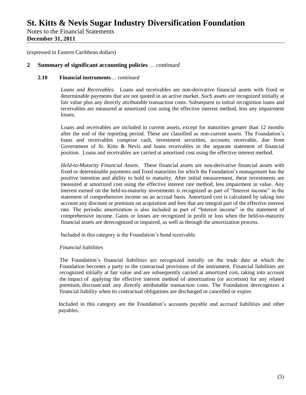Notes to the Financial Statements **December 31, 2011**

(expressed in Eastern Caribbean dollars)

#### **2 Summary of significant accounting policies** *… continued*

#### **2.10 Financial instruments***… continued*

*Loans and Receivables.* Loans and receivables are non-derivative financial assets with fixed or determinable payments that are not quoted in an active market. Such assets are recognized initially at fair value plus any directly attributable transaction costs. Subsequent to initial recognition loans and receivables are measured at amortized cost using the effective interest method, less any impairment losses.

Loans and receivables are included in current assets, except for maturities greater than 12 months after the end of the reporting period. These are classified as non-current assets. The Foundation's loans and receivables comprise cash, investment securities, accounts receivable, due from Government of St. Kitts & Nevis and loans receivables in the separate statement of financial position. Loans and receivables are carried at amortised cost using the effective interest method.

*Held-to-Maturity Financial Assets*. These financial assets are non-derivative financial assets with fixed or determinable payments and fixed maturities for which the Foundation's management has the positive intention and ability to hold to maturity. After initial measurement, these investments are measured at amortized cost using the effective interest rate method, less impairment in value. Any interest earned on the held-to-maturity investments is recognized as part of "Interest income" in the statement of comprehensive income on an accrual basis. Amortized cost is calculated by taking into account any discount or premium on acquisition and fees that are integral part of the effective interest rate. The periodic amortization is also included as part of "Interest income" in the statement of comprehensive income. Gains or losses are recognized in profit or loss when the held-to-maturity financial assets are derecognized or impaired, as well as through the amortization process.

Included in this category is the Foundation's bond receivable.

#### *Financial liabilities*

The Foundation's financial liabilities are recognized initially on the trade date at which the Foundation becomes a party to the contractual provisions of the instrument. Financial liabilities are recognized initially at fair value and are subsequently carried at amortized cost, taking into account the impact of applying the effective interest method of amortization (or accretion) for any related premium, discount and any directly attributable transaction costs. The Foundation derecognizes a financial liability when its contractual obligations are discharged or cancelled or expire.

Included in this category are the Foundation's accounts payable and accrued liabilities and other payables.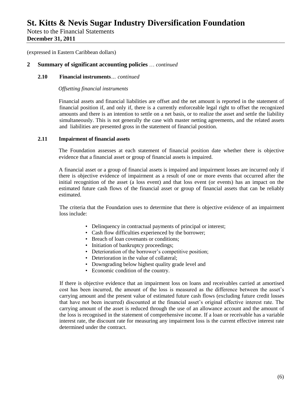Notes to the Financial Statements **December 31, 2011**

(expressed in Eastern Caribbean dollars)

### **2 Summary of significant accounting policies** … *continued*

### **2.10 Financial instruments***… continued*

*Offsetting financial instruments*

Financial assets and financial liabilities are offset and the net amount is reported in the statement of financial position if, and only if, there is a currently enforceable legal right to offset the recognized amounts and there is an intention to settle on a net basis, or to realize the asset and settle the liability simultaneously. This is not generally the case with master netting agreements, and the related assets and liabilities are presented gross in the statement of financial position.

#### **2.11 Impairment of financial assets**

The Foundation assesses at each statement of financial position date whether there is objective evidence that a financial asset or group of financial assets is impaired.

A financial asset or a group of financial assets is impaired and impairment losses are incurred only if there is objective evidence of impairment as a result of one or more events that occurred after the initial recognition of the asset (a loss event) and that loss event (or events) has an impact on the estimated future cash flows of the financial asset or group of financial assets that can be reliably estimated.

The criteria that the Foundation uses to determine that there is objective evidence of an impairment loss include:

- Delinquency in contractual payments of principal or interest;
- Cash flow difficulties experienced by the borrower;
- Breach of loan covenants or conditions;
- Initiation of bankruptcy proceedings;
- Deterioration of the borrower's competitive position;
- Deterioration in the value of collateral;
- Downgrading below highest quality grade level and
- Economic condition of the country.

If there is objective evidence that an impairment loss on loans and receivables carried at amortised cost has been incurred, the amount of the loss is measured as the difference between the asset's carrying amount and the present value of estimated future cash flows (excluding future credit losses that have not been incurred) discounted at the financial asset's original effective interest rate. The carrying amount of the asset is reduced through the use of an allowance account and the amount of the loss is recognised in the statement of comprehensive income. If a loan or receivable has a variable interest rate, the discount rate for measuring any impairment loss is the current effective interest rate determined under the contract.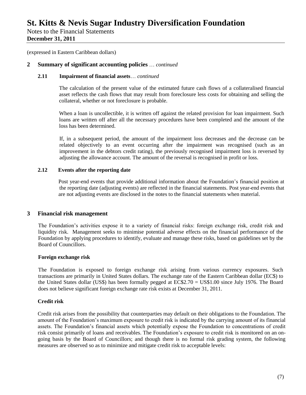Notes to the Financial Statements **December 31, 2011**

(expressed in Eastern Caribbean dollars)

#### **2 Summary of significant accounting policies** … *continued*

#### **2.11 Impairment of financial assets**… *continued*

The calculation of the present value of the estimated future cash flows of a collateralised financial asset reflects the cash flows that may result from foreclosure less costs for obtaining and selling the collateral, whether or not foreclosure is probable.

When a loan is uncollectible, it is written off against the related provision for loan impairment. Such loans are written off after all the necessary procedures have been completed and the amount of the loss has been determined.

If, in a subsequent period, the amount of the impairment loss decreases and the decrease can be related objectively to an event occurring after the impairment was recognised (such as an improvement in the debtors credit rating), the previously recognised impairment loss is reversed by adjusting the allowance account. The amount of the reversal is recognised in profit or loss.

#### **2.12 Events after the reporting date**

Post year-end events that provide additional information about the Foundation's financial position at the reporting date (adjusting events) are reflected in the financial statements. Post year-end events that are not adjusting events are disclosed in the notes to the financial statements when material.

#### **3 Financial risk management**

The Foundation's activities expose it to a variety of financial risks: foreign exchange risk, credit risk and liquidity risk. Management seeks to minimise potential adverse effects on the financial performance of the Foundation by applying procedures to identify, evaluate and manage these risks, based on guidelines set by the Board of Councillors.

#### **Foreign exchange risk**

The Foundation is exposed to foreign exchange risk arising from various currency exposures. Such transactions are primarily in United States dollars. The exchange rate of the Eastern Caribbean dollar (EC\$) to the United States dollar (US\$) has been formally pegged at EC\$2.70 = US\$1.00 since July 1976. The Board does not believe significant foreign exchange rate risk exists at December 31, 2011.

#### **Credit risk**

Credit risk arises from the possibility that counterparties may default on their obligations to the Foundation. The amount of the Foundation's maximum exposure to credit risk is indicated by the carrying amount of its financial assets. The Foundation's financial assets which potentially expose the Foundation to concentrations of credit risk consist primarily of loans and receivables. The Foundation's exposure to credit risk is monitored on an ongoing basis by the Board of Councillors; and though there is no formal risk grading system, the following measures are observed so as to minimize and mitigate credit risk to acceptable levels: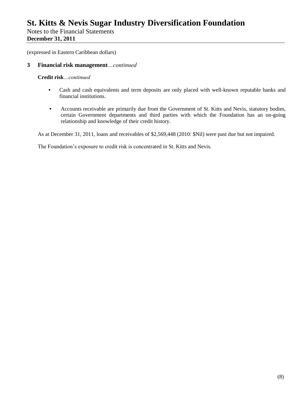Notes to the Financial Statements **December 31, 2011**

(expressed in Eastern Caribbean dollars)

### **3 Financial risk management***…continued*

#### **Credit risk***…continued*

- **•** Cash and cash equivalents and term deposits are only placed with well-known reputable banks and financial institutions.
- Accounts receivable are primarily due from the Government of St. Kitts and Nevis, statutory bodies, certain Government departments and third parties with which the Foundation has an on-going relationship and knowledge of their credit history.

As at December 31, 2011, loans and receivables of \$2,569,448 (2010: \$Nil) were past due but not impaired.

The Foundation's exposure to credit risk is concentrated in St. Kitts and Nevis.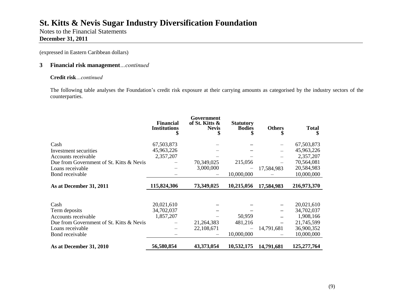Notes to the Financial Statements **December 31, 2011**

(expressed in Eastern Caribbean dollars)

### **3 Financial risk management***…continued*

### **Credit risk***…continued*

The following table analyses the Foundation's credit risk exposure at their carrying amounts as categorised by the industry sectors of the counterparties.

|                                          | <b>Financial</b><br><b>Institutions</b> | Government<br>of St. Kitts &<br><b>Nevis</b><br>\$ | <b>Statutory</b><br><b>Bodies</b> | <b>Others</b><br>\$ | <b>Total</b><br>\$ |
|------------------------------------------|-----------------------------------------|----------------------------------------------------|-----------------------------------|---------------------|--------------------|
| Cash                                     | 67,503,873                              |                                                    |                                   |                     | 67,503,873         |
| Investment securities                    | 45,963,226                              |                                                    |                                   |                     | 45,963,226         |
| Accounts receivable                      | 2,357,207                               |                                                    |                                   |                     | 2,357,207          |
| Due from Government of St. Kitts & Nevis |                                         | 70,349,025                                         | 215,056                           | —                   | 70,564,081         |
| Loans receivable                         |                                         | 3,000,000                                          |                                   | 17,584,983          | 20,584,983         |
| Bond receivable                          |                                         |                                                    | 10,000,000                        |                     | 10,000,000         |
| As at December 31, 2011                  | 115,824,306                             | 73,349,025                                         | 10,215,056                        | 17,584,983          | 216,973,370        |
|                                          |                                         |                                                    |                                   |                     |                    |
| Cash                                     | 20,021,610                              |                                                    |                                   |                     | 20,021,610         |
| Term deposits                            | 34,702,037                              |                                                    |                                   |                     | 34,702,037         |
| Accounts receivable                      | 1,857,207                               |                                                    | 50,959                            |                     | 1,908,166          |
| Due from Government of St. Kitts & Nevis |                                         | 21,264,383                                         | 481,216                           |                     | 21,745,599         |
| Loans receivable                         |                                         | 22,108,671                                         |                                   | 14,791,681          | 36,900,352         |
| Bond receivable                          |                                         |                                                    | 10,000,000                        |                     | 10,000,000         |
| As at December 31, 2010                  | 56,580,854                              | 43,373,054                                         | 10,532,175                        | 14,791,681          | 125,277,764        |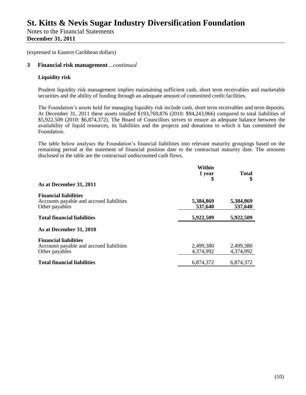Notes to the Financial Statements **December 31, 2011**

(expressed in Eastern Caribbean dollars)

#### **3 Financial risk management***…continued*

#### **Liquidity risk**

Prudent liquidity risk management implies maintaining sufficient cash, short term receivables and marketable securities and the ability of funding through an adequate amount of committed credit facilities.

The Foundation's assets held for managing liquidity risk include cash, short term receivables and term deposits. At December 31, 2011 these assets totalled \$193,769,876 (2010: \$94,243,966) compared to total liabilities of \$5,922,509 (2010: \$6,874,372). The Board of Councillors strives to ensure an adequate balance between the availability of liquid resources, its liabilities and the projects and donations to which it has committed the Foundation.

The table below analyses the Foundation's financial liabilities into relevant maturity groupings based on the remaining period at the statement of financial position date to the contractual maturity date. The amounts disclosed in the table are the contractual undiscounted cash flows.

| As at December 31, 2011                                                                    | Within<br>1 year<br>\$ | Total<br>\$            |
|--------------------------------------------------------------------------------------------|------------------------|------------------------|
| <b>Financial liabilities</b><br>Accounts payable and accrued liabilities<br>Other payables | 5,384,869<br>537,640   | 5,384,869<br>537,640   |
| <b>Total financial liabilities</b>                                                         | 5,922,509              | 5,922,509              |
| As at December 31, 2010                                                                    |                        |                        |
| <b>Financial liabilities</b><br>Accounts payable and accrued liabilities<br>Other payables | 2,499,380<br>4,374,992 | 2,499,380<br>4,374,992 |
| <b>Total financial liabilities</b>                                                         | 6,874,372              | 6,874,372              |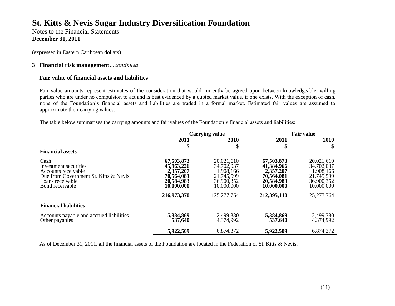Notes to the Financial Statements **December 31, 2011**

(expressed in Eastern Caribbean dollars)

### **3 Financial risk management***…continued*

### **Fair value of financial assets and liabilities**

Fair value amounts represent estimates of the consideration that would currently be agreed upon between knowledgeable, willing parties who are under no compulsion to act and is best evidenced by a quoted market value, if one exists. With the exception of cash, none of the Foundation's financial assets and liabilities are traded in a formal market. Estimated fair values are assumed to approximate their carrying values.

The table below summarises the carrying amounts and fair values of the Foundation's financial assets and liabilities:

|                                                                                                                                      | <b>Carrying value</b>                                                           |                                                                                 | <b>Fair value</b>                                                               |                                                                                 |
|--------------------------------------------------------------------------------------------------------------------------------------|---------------------------------------------------------------------------------|---------------------------------------------------------------------------------|---------------------------------------------------------------------------------|---------------------------------------------------------------------------------|
|                                                                                                                                      | 2011                                                                            | 2010                                                                            | 2011                                                                            | 2010                                                                            |
| <b>Financial assets</b>                                                                                                              | \$                                                                              | \$                                                                              | \$                                                                              | \$                                                                              |
| Cash<br>Investment securities<br>Accounts receivable<br>Due from Government St. Kitts & Nevis<br>Loans receivable<br>Bond receivable | 67,503,873<br>45,963,226<br>2,357,207<br>70,564,081<br>20,584,983<br>10,000,000 | 20,021,610<br>34,702,037<br>1,908,166<br>21,745,599<br>36,900,352<br>10,000,000 | 67,503,873<br>41,384,966<br>2,357,207<br>70,564,081<br>20,584,983<br>10,000,000 | 20,021,610<br>34,702,037<br>1,908,166<br>21,745,599<br>36,900,352<br>10,000,000 |
|                                                                                                                                      | 216,973,370                                                                     | 125,277,764                                                                     | 212,395,110                                                                     | 125,277,764                                                                     |
| <b>Financial liabilities</b>                                                                                                         |                                                                                 |                                                                                 |                                                                                 |                                                                                 |
| Accounts payable and accrued liabilities<br>Other payables                                                                           | 5,384,869<br>537,640                                                            | 2,499,380<br>4,374,992                                                          | 5,384,869<br>537,640                                                            | 2,499,380<br>4,374,992                                                          |
|                                                                                                                                      | 5,922,509                                                                       | 6,874,372                                                                       | 5,922,509                                                                       | 6,874,372                                                                       |

As of December 31, 2011, all the financial assets of the Foundation are located in the Federation of St. Kitts & Nevis.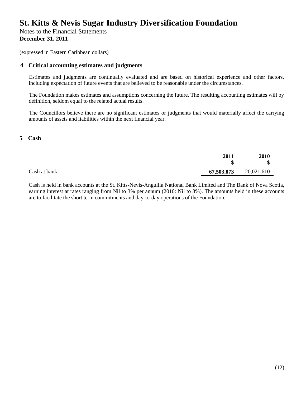Notes to the Financial Statements **December 31, 2011**

(expressed in Eastern Caribbean dollars)

### **4 Critical accounting estimates and judgments**

Estimates and judgments are continually evaluated and are based on historical experience and other factors, including expectation of future events that are believed to be reasonable under the circumstances.

The Foundation makes estimates and assumptions concerning the future. The resulting accounting estimates will by definition, seldom equal to the related actual results.

The Councillors believe there are no significant estimates or judgments that would materially affect the carrying amounts of assets and liabilities within the next financial year.

#### **5 Cash**

|              | 2011<br>Φ<br>ъ | 2010<br>\$ |
|--------------|----------------|------------|
| Cash at bank | 67,503,873     | 20,021,610 |

Cash is held in bank accounts at the St. Kitts-Nevis-Anguilla National Bank Limited and The Bank of Nova Scotia, earning interest at rates ranging from Nil to 3% per annum (2010: Nil to 3%). The amounts held in these accounts are to facilitate the short term commitments and day-to-day operations of the Foundation.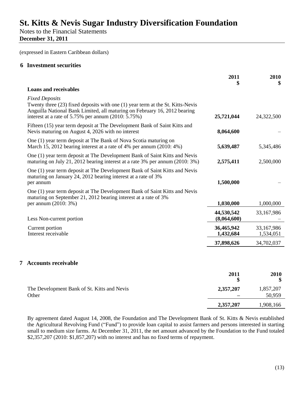Notes to the Financial Statements **December 31, 2011**

(expressed in Eastern Caribbean dollars)

#### **6 Investment securities**

|                                                                                                                                                                                                                                                    | 2011                      | 2010<br>\$              |
|----------------------------------------------------------------------------------------------------------------------------------------------------------------------------------------------------------------------------------------------------|---------------------------|-------------------------|
| <b>Loans and receivables</b>                                                                                                                                                                                                                       |                           |                         |
| <b>Fixed Deposits</b><br>Twenty three (23) fixed deposits with one (1) year term at the St. Kitts-Nevis<br>Anguilla National Bank Limited, all maturing on February 16, 2012 bearing<br>interest at a rate of $5.75\%$ per annum (2010: $5.75\%$ ) | 25,721,044                | 24,322,500              |
| Fifteen (15) year term deposit at The Development Bank of Saint Kitts and<br>Nevis maturing on August 4, 2026 with no interest                                                                                                                     | 8,064,600                 |                         |
| One (1) year term deposit at The Bank of Nova Scotia maturing on<br>March 15, 2012 bearing interest at a rate of 4% per annum (2010: 4%)                                                                                                           | 5,639,487                 | 5,345,486               |
| One (1) year term deposit at The Development Bank of Saint Kitts and Nevis<br>maturing on July 21, 2012 bearing interest at a rate 3% per annum (2010: 3%)                                                                                         | 2,575,411                 | 2,500,000               |
| One (1) year term deposit at The Development Bank of Saint Kitts and Nevis<br>maturing on January 24, 2012 bearing interest at a rate of 3%<br>per annum                                                                                           | 1,500,000                 |                         |
| One (1) year term deposit at The Development Bank of Saint Kitts and Nevis<br>maturing on September 21, 2012 bearing interest at a rate of 3%<br>per annum (2010: 3%)                                                                              | 1,030,000                 | 1,000,000               |
| Less Non-current portion                                                                                                                                                                                                                           | 44,530,542<br>(8,064,600) | 33,167,986              |
| Current portion<br>Interest receivable                                                                                                                                                                                                             | 36,465,942<br>1,432,684   | 33,167,986<br>1,534,051 |
|                                                                                                                                                                                                                                                    | 37,898,626                | 34,702,037              |
| <b>Accounts receivable</b><br>7.                                                                                                                                                                                                                   | 2011                      | 2010                    |
|                                                                                                                                                                                                                                                    | \$                        | \$                      |

| The Development Bank of St. Kitts and Nevis | 2,357,207 | 1,857,207 |
|---------------------------------------------|-----------|-----------|
| Other                                       |           | 50,959    |
|                                             | 2,357,207 | 1,908,166 |
|                                             |           |           |

By agreement dated August 14, 2008, the Foundation and The Development Bank of St. Kitts & Nevis established the Agricultural Revolving Fund ("Fund") to provide loan capital to assist farmers and persons interested in starting small to medium size farms. At December 31, 2011, the net amount advanced by the Foundation to the Fund totaled \$2,357,207 (2010: \$1,857,207) with no interest and has no fixed terms of repayment.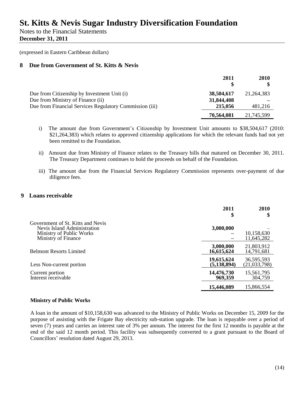Notes to the Financial Statements **December 31, 2011**

(expressed in Eastern Caribbean dollars)

### **8 Due from Government of St. Kitts & Nevis**

|                                                         | 2011       | 2010       |
|---------------------------------------------------------|------------|------------|
| Due from Citizenship by Investment Unit (i)             | 38,504,617 | 21,264,383 |
| Due from Ministry of Finance (ii)                       | 31,844,408 |            |
| Due from Financial Services Regulatory Commission (iii) | 215,056    | 481,216    |
|                                                         | 70,564,081 | 21,745,599 |

i) The amount due from Government's Citizenship by Investment Unit amounts to \$38,504,617 (2010: \$21,264,383) which relates to approved citizenship applications for which the relevant funds had not yet been remitted to the Foundation.

ii) Amount due from Ministry of Finance relates to the Treasury bills that matured on December 30, 2011. The Treasury Department continues to hold the proceeds on behalf of the Foundation.

iii) The amount due from the Financial Services Regulatory Commission represents over-payment of due diligence fees.

### **9 Loans receivable**

|                                                                                                                     | 2011<br>\$                  | 2010<br>\$                   |
|---------------------------------------------------------------------------------------------------------------------|-----------------------------|------------------------------|
| Government of St. Kitts and Nevis<br>Nevis Island Administration<br>Ministry of Public Works<br>Ministry of Finance | 3,000,000                   | 10,158,630<br>11,645,282     |
| <b>Belmont Resorts Limited</b>                                                                                      | 3,000,000<br>16,615,624     | 21,803,912<br>14,791,681     |
| Less Non-current portion                                                                                            | 19,615,624<br>(5, 138, 894) | 36,595,593<br>(21, 033, 798) |
| Current portion<br>Interest receivable                                                                              | 14,476,730<br>969,359       | 15,561,795<br>304,759        |
|                                                                                                                     | 15,446,089                  | 15,866,554                   |

#### **Ministry of Public Works**

A loan in the amount of \$10,158,630 was advanced to the Ministry of Public Works on December 15, 2009 for the purpose of assisting with the Frigate Bay electricity sub-station upgrade. The loan is repayable over a period of seven (7) years and carries an interest rate of 3% per annum. The interest for the first 12 months is payable at the end of the said 12 month period. This facility was subsequently converted to a grant pursuant to the Board of Councillors' resolution dated August 29, 2013.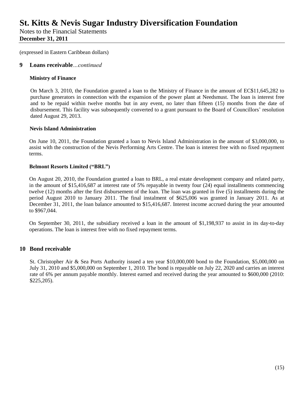Notes to the Financial Statements **December 31, 2011**

(expressed in Eastern Caribbean dollars)

#### **9 Loans receivable***…continued*

#### **Ministry of Finance**

On March 3, 2010, the Foundation granted a loan to the Ministry of Finance in the amount of EC\$11,645,282 to purchase generators in connection with the expansion of the power plant at Needsmust. The loan is interest free and to be repaid within twelve months but in any event, no later than fifteen (15) months from the date of disbursement. This facility was subsequently converted to a grant pursuant to the Board of Councillors' resolution dated August 29, 2013.

#### **Nevis Island Administration**

On June 10, 2011, the Foundation granted a loan to Nevis Island Administration in the amount of \$3,000,000, to assist with the construction of the Nevis Performing Arts Centre. The loan is interest free with no fixed repayment terms.

#### **Belmont Resorts Limited ("BRL")**

On August 20, 2010, the Foundation granted a loan to BRL, a real estate development company and related party, in the amount of \$15,416,687 at interest rate of 5% repayable in twenty four (24) equal installments commencing twelve (12) months after the first disbursement of the loan. The loan was granted in five (5) installments during the period August 2010 to January 2011. The final instalment of \$625,006 was granted in January 2011. As at December 31, 2011, the loan balance amounted to \$15,416,687. Interest income accrued during the year amounted to \$967,044.

On September 30, 2011, the subsidiary received a loan in the amount of \$1,198,937 to assist in its day-to-day operations. The loan is interest free with no fixed repayment terms.

### **10 Bond receivable**

St. Christopher Air & Sea Ports Authority issued a ten year \$10,000,000 bond to the Foundation, \$5,000,000 on July 31, 2010 and \$5,000,000 on September 1, 2010. The bond is repayable on July 22, 2020 and carries an interest rate of 6% per annum payable monthly. Interest earned and received during the year amounted to \$600,000 (2010: \$225,205).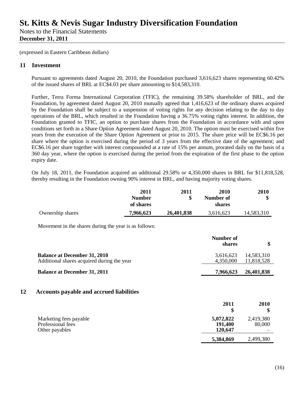Notes to the Financial Statements **December 31, 2011**

(expressed in Eastern Caribbean dollars)

### **11 Investment**

Pursuant to agreements dated August 20, 2010, the Foundation purchased 3,616,623 shares representing 60.42% of the issued shares of BRL at EC\$4.03 per share amounting to \$14,583,310.

Further, Terra Forma International Corporation (TFIC), the remaining 39.58% shareholder of BRL, and the Foundation, by agreement dated August 20, 2010 mutually agreed that 1,416,623 of the ordinary shares acquired by the Foundation shall be subject to a suspension of voting rights for any decision relating to the day to day operations of the BRL, which resulted in the Foundation having a 36.75% voting rights interest. In addition, the Foundation granted to TFIC, an option to purchase shares from the Foundation in accordance with and upon conditions set forth in a Share Option Agreement dated August 20, 2010. The option must be exercised within five years from the execution of the Share Option Agreement or prior to 2015. The share price will be EC\$6.16 per share where the option is exercised during the period of 3 years from the effective date of the agreement; and EC\$6.16 per share together with interest compounded at a rate of 15% per annum, prorated daily on the basis of a 360 day year, where the option is exercised during the period from the expiration of the first phase to the option expiry date.

On July 18, 2011, the Foundation acquired an additional 29.58% or 4,350,000 shares in BRL for \$11,818,528, thereby resulting in the Foundation owning 90% interest in BRL, and having majority voting shares.

|                  | 2011                       | <b>2011</b> | 2010                | <b>2010</b> |
|------------------|----------------------------|-------------|---------------------|-------------|
|                  | <b>Number</b><br>of shares |             | Number of<br>shares | \$          |
| Ownership shares | 7,966,623                  | 26,401,838  | 3,616,623           | 14,583,310  |

Movement in the shares during the year is as follows:

|                                                                                   | Number of<br>shares    |                          |
|-----------------------------------------------------------------------------------|------------------------|--------------------------|
| <b>Balance at December 31, 2010</b><br>Additional shares acquired during the year | 3,616,623<br>4,350,000 | 14,583,310<br>11,818,528 |
| <b>Balance at December 31, 2011</b>                                               | 7,966,623              | 26,401,838               |

#### **12 Accounts payable and accrued liabilities**

|                                                               | 2011                            | 2010<br>Φ           |
|---------------------------------------------------------------|---------------------------------|---------------------|
| Marketing fees payable<br>Professional fees<br>Other payables | 5,072,822<br>191,400<br>120,647 | 2,419,380<br>80,000 |
|                                                               | 5,384,869                       | 2,499,380           |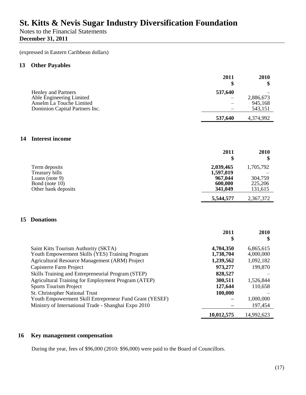Notes to the Financial Statements **December 31, 2011**

(expressed in Eastern Caribbean dollars)

### **13 Other Payables**

|    |                                                                                           | 2011<br>\$         | 2010<br>\$         |
|----|-------------------------------------------------------------------------------------------|--------------------|--------------------|
|    | Henley and Partners                                                                       | 537,640            |                    |
|    | Able Engineering Limited                                                                  |                    | 2,886,673          |
|    | Anselm La Touche Limited<br>Dominion Capital Partners Inc.                                |                    | 945,168<br>543,151 |
|    |                                                                                           |                    |                    |
|    |                                                                                           | 537,640            | 4,374,992          |
|    |                                                                                           |                    |                    |
| 14 | <b>Interest income</b>                                                                    |                    |                    |
|    |                                                                                           | 2011               | 2010               |
|    |                                                                                           | \$                 | \$                 |
|    | Term deposits                                                                             | 2,039,465          | 1,705,792          |
|    | Treasury bills                                                                            | 1,597,019          |                    |
|    | Loans (note 9)                                                                            | 967,044            | 304,759            |
|    | Bond (note 10)<br>Other bank deposits                                                     | 600,000<br>341,049 | 225,206<br>131,615 |
|    |                                                                                           | 5,544,577          | 2,367,372          |
|    |                                                                                           |                    |                    |
|    |                                                                                           |                    |                    |
| 15 | <b>Donations</b>                                                                          |                    |                    |
|    |                                                                                           | 2011               | 2010               |
|    |                                                                                           | \$                 | \$                 |
|    | Saint Kitts Tourism Authority (SKTA)                                                      | 4,704,350          | 6,865,615          |
|    | Youth Empowerment Skills (YES) Training Program                                           | 1,738,704          | 4,000,000          |
|    | Agricultural Resource Management (ARM) Project                                            | 1,239,562          | 1,092,182          |
|    | Capisterre Farm Project                                                                   | 973,277            | 199,870            |
|    | Skills Training and Entrepreneurial Program (STEP)                                        | 828,527            |                    |
|    | Agricultural Training for Employment Program (ATEP)                                       | 300,511            | 1,526,844          |
|    | <b>Sports Tourism Project</b>                                                             | 127,644            | 110,658            |
|    | St. Christopher National Trust<br>Youth Empowerment Skill Entrepreneur Fund Grant (YESEF) | 100,000            | 1,000,000          |
|    | Ministry of International Trade - Shanghai Expo 2010                                      |                    | 197,454            |
|    |                                                                                           | 10,012,575         | 14,992,623         |
|    |                                                                                           |                    |                    |

### **16 Key management compensation**

During the year, fees of \$96,000 (2010: \$96,000) were paid to the Board of Councillors.